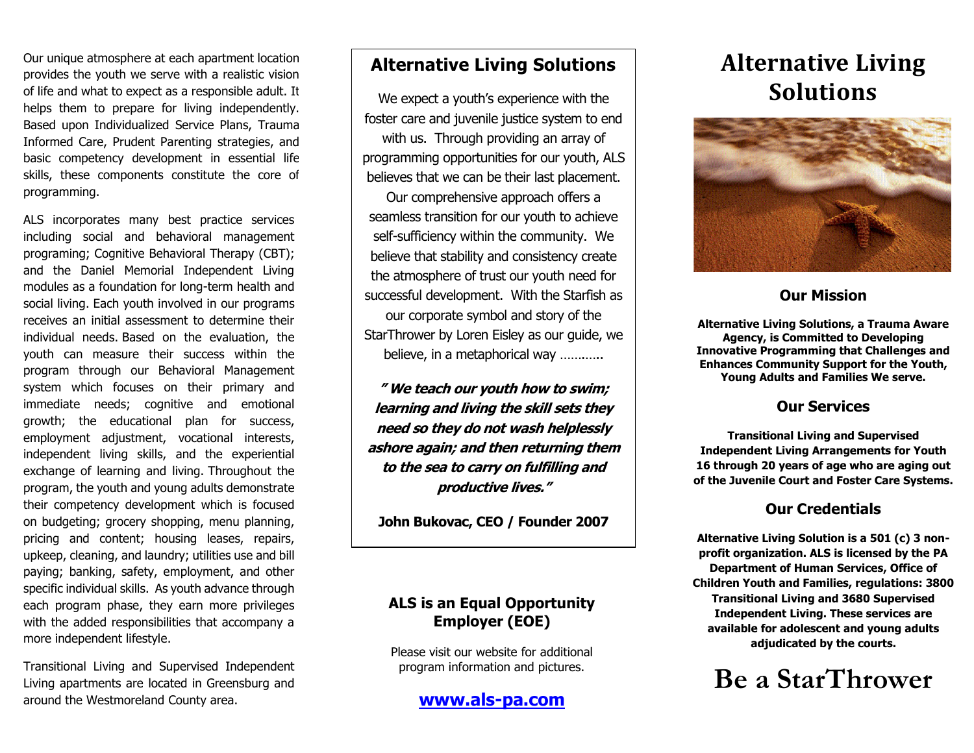Our unique atmosphere at each apartment location provides the youth we serve with a realistic vision of life and what to expect as a responsible adult. It helps them to prepare for living independently. Based upon Individualized Service Plans, Trauma Informed Care, Prudent Parenting strategies, and basic competency development in essential life skills, these components constitute the core of programming.

ALS incorporates many best practice services including social and behavioral management programing; Cognitive Behavioral Therapy (CBT); and the Daniel Memorial Independent Living modules as a foundation for long-term health and social living. Each youth involved in our programs receives an initial assessment to determine their individual needs. Based on the evaluation, the youth can measure their success within the program through our Behavioral Management system which focuses on their primary and immediate needs; cognitive and emotional growth; the educational plan for success, employment adjustment, vocational interests, independent living skills, and the experiential exchange of learning and living. Throughout the program, the youth and young adults demonstrate their competency development which is focused on budgeting; grocery shopping, menu planning, pricing and content; housing leases, repairs, upkeep, cleaning, and laundry; utilities use and bill paying; banking, safety, employment, and other specific individual skills. As youth advance through each program phase, they earn more privileges with the added responsibilities that accompany a more independent lifestyle.

Transitional Living and Supervised Independent Living apartments are located in Greensburg and around the Westmoreland County area.

# **Alternative Living Solutions**

We expect a youth's experience with the foster care and juvenile justice system to end with us. Through providing an array of programming opportunities for our youth, ALS believes that we can be their last placement. Our comprehensive approach offers a seamless transition for our youth to achieve self-sufficiency within the community. We believe that stability and consistency create the atmosphere of trust our youth need for successful development. With the Starfish as our corporate symbol and story of the StarThrower by Loren Eisley as our guide, we believe, in a metaphorical way ............

**" We teach our youth how to swim; learning and living the skill sets they need so they do not wash helplessly ashore again; and then returning them to the sea to carry on fulfilling and productive lives."**

**John Bukovac, CEO / Founder 2007**

# **ALS is an Equal Opportunity Employer (EOE)**

Please visit our website for additional program information and pictures.

**[www.als-pa.com](http://www.als-pa.com/)**

# **Alternative Living Solutions**



# **Our Mission**

**Alternative Living Solutions, a Trauma Aware Agency, is Committed to Developing Innovative Programming that Challenges and Enhances Community Support for the Youth, Young Adults and Families We serve.**

# **Our Services**

**Transitional Living and Supervised Independent Living Arrangements for Youth 16 through 20 years of age who are aging out of the Juvenile Court and Foster Care Systems.**

# **Our Credentials**

**Alternative Living Solution is a 501 (c) 3 nonprofit organization. ALS is licensed by the PA Department of Human Services, Office of Children Youth and Families, regulations: 3800 Transitional Living and 3680 Supervised Independent Living. These services are available for adolescent and young adults adjudicated by the courts.**

# **Be a StarThrower**